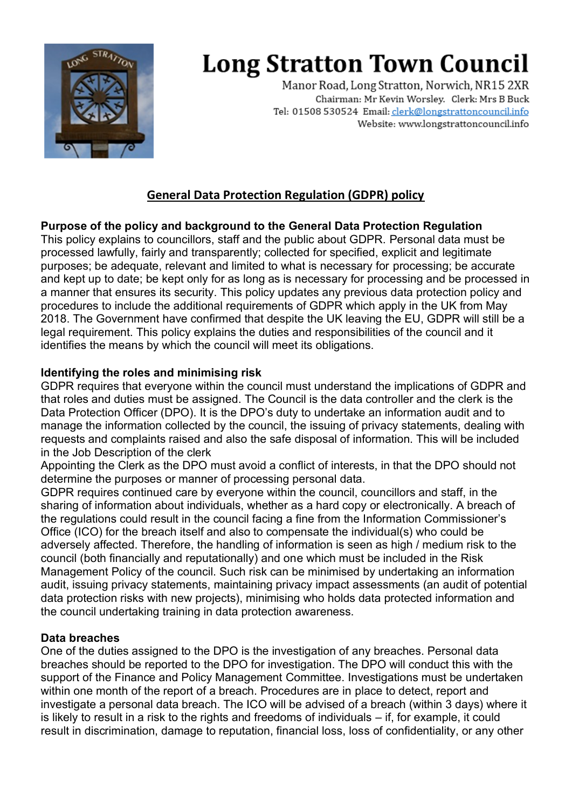

# **Long Stratton Town Council**

Manor Road, Long Stratton, Norwich, NR15 2XR Chairman: Mr Kevin Worsley. Clerk: Mrs B Buck Tel: 01508 530524 Email: clerk@longstrattoncouncil.info Website: www.longstrattoncouncil.info

## **General Data Protection Regulation (GDPR) policy**

### **Purpose of the policy and background to the General Data Protection Regulation**

This policy explains to councillors, staff and the public about GDPR. Personal data must be processed lawfully, fairly and transparently; collected for specified, explicit and legitimate purposes; be adequate, relevant and limited to what is necessary for processing; be accurate and kept up to date; be kept only for as long as is necessary for processing and be processed in a manner that ensures its security. This policy updates any previous data protection policy and procedures to include the additional requirements of GDPR which apply in the UK from May 2018. The Government have confirmed that despite the UK leaving the EU, GDPR will still be a legal requirement. This policy explains the duties and responsibilities of the council and it identifies the means by which the council will meet its obligations.

#### **Identifying the roles and minimising risk**

GDPR requires that everyone within the council must understand the implications of GDPR and that roles and duties must be assigned. The Council is the data controller and the clerk is the Data Protection Officer (DPO). It is the DPO's duty to undertake an information audit and to manage the information collected by the council, the issuing of privacy statements, dealing with requests and complaints raised and also the safe disposal of information. This will be included in the Job Description of the clerk

Appointing the Clerk as the DPO must avoid a conflict of interests, in that the DPO should not determine the purposes or manner of processing personal data.

GDPR requires continued care by everyone within the council, councillors and staff, in the sharing of information about individuals, whether as a hard copy or electronically. A breach of the regulations could result in the council facing a fine from the Information Commissioner's Office (ICO) for the breach itself and also to compensate the individual(s) who could be adversely affected. Therefore, the handling of information is seen as high / medium risk to the council (both financially and reputationally) and one which must be included in the Risk Management Policy of the council. Such risk can be minimised by undertaking an information audit, issuing privacy statements, maintaining privacy impact assessments (an audit of potential data protection risks with new projects), minimising who holds data protected information and the council undertaking training in data protection awareness.

#### **Data breaches**

One of the duties assigned to the DPO is the investigation of any breaches. Personal data breaches should be reported to the DPO for investigation. The DPO will conduct this with the support of the Finance and Policy Management Committee. Investigations must be undertaken within one month of the report of a breach. Procedures are in place to detect, report and investigate a personal data breach. The ICO will be advised of a breach (within 3 days) where it is likely to result in a risk to the rights and freedoms of individuals – if, for example, it could result in discrimination, damage to reputation, financial loss, loss of confidentiality, or any other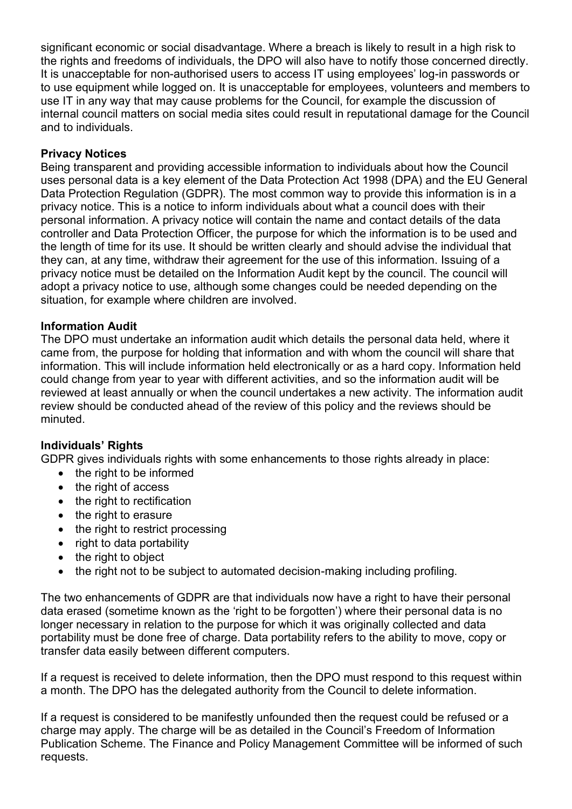significant economic or social disadvantage. Where a breach is likely to result in a high risk to the rights and freedoms of individuals, the DPO will also have to notify those concerned directly. It is unacceptable for non-authorised users to access IT using employees' log-in passwords or to use equipment while logged on. It is unacceptable for employees, volunteers and members to use IT in any way that may cause problems for the Council, for example the discussion of internal council matters on social media sites could result in reputational damage for the Council and to individuals.

#### **Privacy Notices**

Being transparent and providing accessible information to individuals about how the Council uses personal data is a key element of the Data Protection Act 1998 (DPA) and the EU General Data Protection Regulation (GDPR). The most common way to provide this information is in a privacy notice. This is a notice to inform individuals about what a council does with their personal information. A privacy notice will contain the name and contact details of the data controller and Data Protection Officer, the purpose for which the information is to be used and the length of time for its use. It should be written clearly and should advise the individual that they can, at any time, withdraw their agreement for the use of this information. Issuing of a privacy notice must be detailed on the Information Audit kept by the council. The council will adopt a privacy notice to use, although some changes could be needed depending on the situation, for example where children are involved.

#### **Information Audit**

The DPO must undertake an information audit which details the personal data held, where it came from, the purpose for holding that information and with whom the council will share that information. This will include information held electronically or as a hard copy. Information held could change from year to year with different activities, and so the information audit will be reviewed at least annually or when the council undertakes a new activity. The information audit review should be conducted ahead of the review of this policy and the reviews should be minuted.

#### **Individuals' Rights**

GDPR gives individuals rights with some enhancements to those rights already in place:

- the right to be informed
- the right of access
- the right to rectification
- the right to erasure
- the right to restrict processing
- right to data portability
- the right to object
- the right not to be subject to automated decision-making including profiling.

The two enhancements of GDPR are that individuals now have a right to have their personal data erased (sometime known as the 'right to be forgotten') where their personal data is no longer necessary in relation to the purpose for which it was originally collected and data portability must be done free of charge. Data portability refers to the ability to move, copy or transfer data easily between different computers.

If a request is received to delete information, then the DPO must respond to this request within a month. The DPO has the delegated authority from the Council to delete information.

If a request is considered to be manifestly unfounded then the request could be refused or a charge may apply. The charge will be as detailed in the Council's Freedom of Information Publication Scheme. The Finance and Policy Management Committee will be informed of such requests.